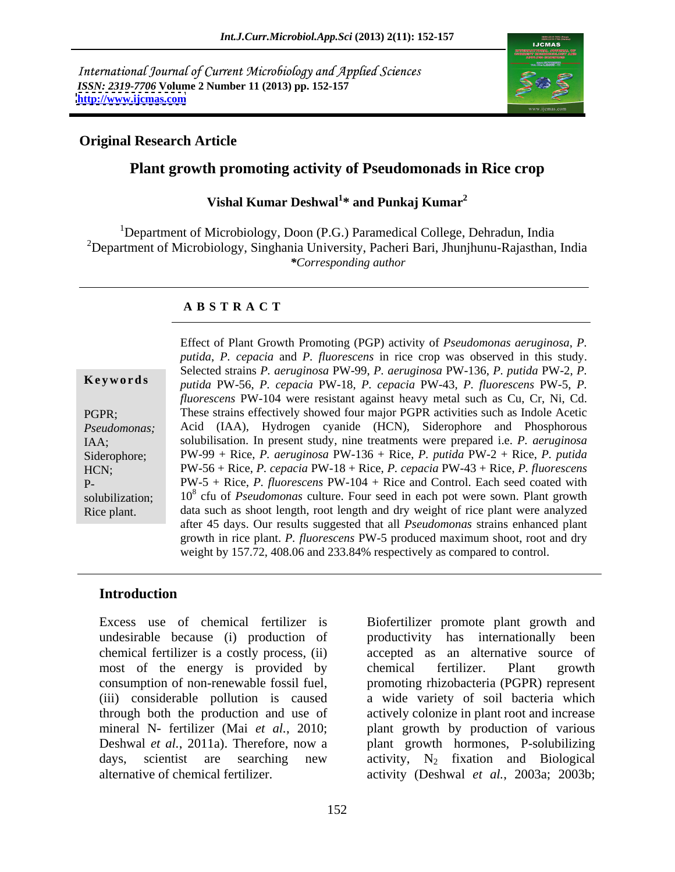International Journal of Current Microbiology and Applied Sciences *ISSN: 2319-7706* **Volume 2 Number 11 (2013) pp. 152-157 <http://www.ijcmas.com>**



### **Original Research Article**

## **Plant growth promoting activity of Pseudomonads in Rice crop**

### Vishal Kumar Deshwal<sup>1\*</sup> and Punkaj Kumar<sup>2</sup> **\* and Punkaj Kumar<sup>2</sup>**

<sup>1</sup>Department of Microbiology, Doon (P.G.) Paramedical College, Dehradun, India <sup>2</sup>Department of Microbiology, Singhania University, Pacheri Bari, Jhunjhunu-Rajasthan, India *\*Corresponding author* 

### **A B S T R A C T**

**Ke ywo rds** *putida* PW-56, *P. cepacia* PW-18, *P. cepacia* PW-43, *P. fluorescens* PW-5, *P.*  PGPR; These strains effectively showed four major PGPR activities such as Indole Acetic *Pseudomonas;* Acid (IAA), Hydrogen cyanide (HCN), Siderophore and Phosphorous IAA; solubilisation. In present study, nine treatments were prepared i.e. *P. aeruginosa* Siderophore; PW-99 + Rice, *P. aeruginosa* PW-136 + Rice, *P. putida* PW-2 + Rice, *P. putida* HCN; PW-56 + Rice, *P. cepacia* PW-18 + Rice, *P. cepacia* PW-43 + Rice, *P. fluorescens*  P- PW-5 + Rice, *P. fluorescens* PW-104 + Rice and Control. Each seed coated with solubilization; 10<sup>8</sup> cfu of *Pseudomonas* culture. Four seed in each pot were sown. Plant growth Rice plant. data such as shoot length, root length and dry weight of rice plant were analyzed Effect of Plant Growth Promoting (PGP) activity of *Pseudomonas aeruginosa*, *P. putida*, *P. cepacia* and *P. fluorescens* in rice crop was observed in this study. Selected strains *P. aeruginosa* PW-99, *P. aeruginosa* PW-136, *P. putida* PW-2, *P. fluorescens* PW-104 were resistant against heavy metal such as Cu, Cr, Ni, Cd. after 45 days. Our results suggested that all *Pseudomonas* strains enhanced plant growth in rice plant. *P. fluorescens* PW-5 produced maximum shoot, root and dry weight by 157.72, 408.06 and 233.84% respectively as compared to control.

### **Introduction**

most of the energy is provided by chemical fertilizer. Plant growth consumption of non-renewable fossil fuel, alternative of chemical fertilizer. activity (Deshwal *et al.*, 2003a; 2003b;

Excess use of chemical fertilizer is Biofertilizer promote plant growth and undesirable because (i) production of productivity has internationally been chemical fertilizer is a costly process, (ii) accepted as an alternative source of (iii) considerable pollution is caused a wide variety of soil bacteria which through both the production and use of actively colonize in plant root and increase mineral N- fertilizer (Mai *et al.*, 2010; plant growth by production of various Deshwal *et al.*, 2011a). Therefore, now a plant growth hormones, P-solubilizing days, scientist are searching new activity,  $N_2$  fixation and Biological chemical fertilizer. Plant growth promoting rhizobacteria (PGPR) represent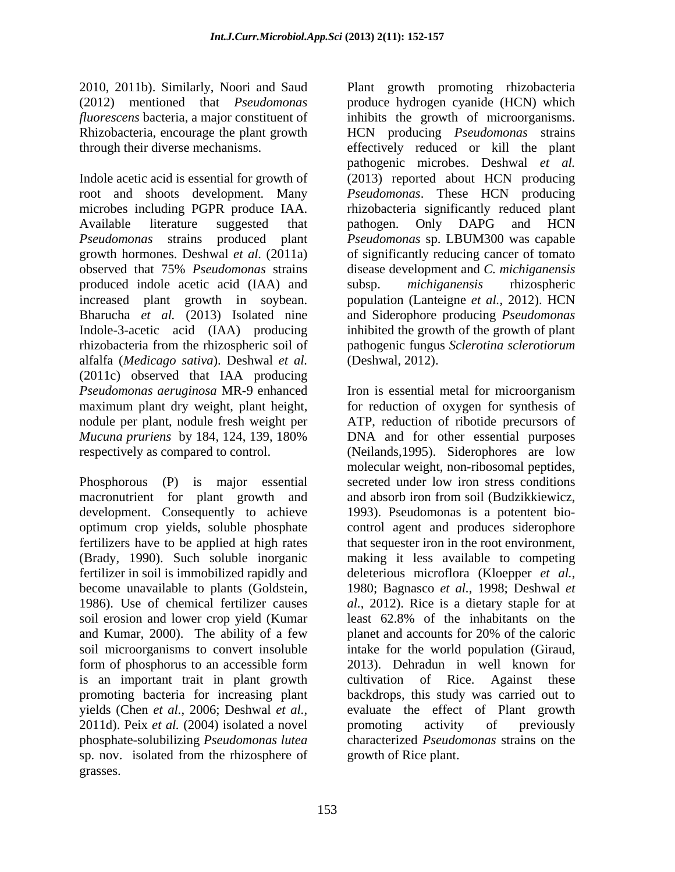Indole acetic acid is essential for growth of (2013) reported about HCN producing root and shoots development. Many *Pseudomonas*. These HCN producing microbes including PGPR produce IAA. rhizobacteria significantly reduced plant Available literature suggested that pathogen. Only DAPG and HCN *Pseudomonas* strains produced plant *Pseudomonas* sp. LBUM300 was capable growth hormones. Deshwal *et al.* (2011a) of significantly reducing cancer of tomato observed that 75% *Pseudomonas* strains produced indole acetic acid (IAA) and subsp. michiganensis rhizospheric increased plant growth in soybean. population (Lanteigne *et al.*, 2012). HCN Bharucha *et al.* (2013) Isolated nine and Siderophore producing *Pseudomonas* Indole-3-acetic acid (IAA) producing inhibited the growth of the growth of plant rhizobacteria from the rhizospheric soil of pathogenic fungus *Sclerotina sclerotiorum* alfalfa (*Medicago sativa*). Deshwal *et al.* (2011c) observed that IAA producing *Pseudomonas aeruginosa* MR-9 enhanced Iron is essential metal for microorganism maximum plant dry weight, plant height, for reduction of oxygen for synthesis of nodule per plant, nodule fresh weight per ATP, reduction of ribotide precursors of *Mucuna pruriens* by 184, 124, 139, 180% respectively as compared to control. (Neilands,1995). Siderophores are low

Phosphorous (P) is major essential macronutrient for plant growth and and absorb iron from soil (Budzikkiewicz, development. Consequently to achieve 1993). Pseudomonas is a potentent bio optimum crop yields, soluble phosphate control agent and produces siderophore fertilizers have to be applied at high rates that sequester iron in the root environment, (Brady, 1990). Such soluble inorganic making it less available to competing fertilizer in soil is immobilized rapidly and deleterious microflora (Kloepper *et al.*, become unavailable to plants (Goldstein, 1980; Bagnasco et al., 1998; Deshwal et 1986). Use of chemical fertilizer causes *al.*, 2012). Rice is a dietary staple for at soil erosion and lower crop yield (Kumar least 62.8% of the inhabitants on the and Kumar, 2000). The ability of a few planet and accounts for 20% of the caloric soil microorganisms to convert insoluble intake for the world population (Giraud, form of phosphorus to an accessible form 2013). Dehradun in well known for is an important trait in plant growth cultivation of Rice. Against these promoting bacteria for increasing plant backdrops, this study was carried out to yields (Chen *et al.*, 2006; Deshwal *et al.*, evaluate the effect of Plant growth<br>2011d). Peix *et al.* (2004) isolated a novel promoting activity of previously phosphate-solubilizing *Pseudomonas lutea* characterized *Pseudomonas* strains on the sp. nov. isolated from the rhizosphere of grasses.

2010, 2011b). Similarly, Noori and Saud Plant growth promoting rhizobacteria (2012) mentioned that *Pseudomonas*  produce hydrogen cyanide (HCN) which *fluorescens* bacteria, a major constituent of inhibits the growth of microorganisms. Rhizobacteria, encourage the plant growth HCN producing *Pseudomonas* strains through their diverse mechanisms. effectively reduced or kill the plant pathogenic microbes. Deshwal *et al.* pathogen. Only DAPG and HCN disease development and *C. michiganensis* subsp. *michiganensis* rhizospheric (Deshwal, 2012).

> DNA and for other essential purposes molecular weight, non-ribosomal peptides, secreted under low iron stress conditions and absorb iron from soil (Budzikkiewicz, deleterious microflora (Kloepper*et al.*, 1980; Bagnasco *et al.*, 1998; Deshwal*et*  least 62.8% of the inhabitants on the planet and accounts for 20% of the caloric cultivation of Rice. Against these evaluate the effect of Plant growth promoting activity of previously growth of Rice plant.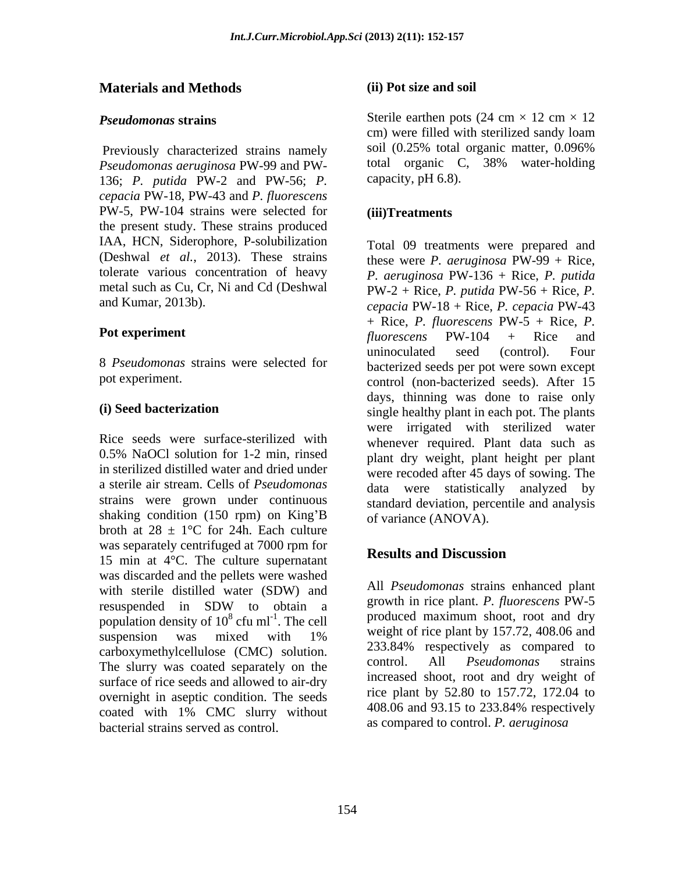## **Materials and Methods**

*Pseudomonas aeruginosa* PW-99 and PW- 136; *P. putida* PW-2 and PW-56; *P. cepacia* PW-18, PW-43 and *P. fluorescens*  PW-5, PW-104 strains were selected for (iii)Treatments the present study. These strains produced IAA, HCN, Siderophore, P-solubilization (Deshwal *et al.*, 2013). These strains tolerate various concentration of heavy metal such as Cu, Cr, Ni and Cd (Deshwal

8 *Pseudomonas* strains were selected for

a sterile air stream. Cells of *Pseudomonas*  shaking condition (150 rpm) on King'B broth at  $28 \pm 1$ °C for 24h. Each culture was separately centrifuged at 7000 rpm for<br>Results and Discussion 15 min at 4°C. The culture supernatant was discarded and the pellets were washed with sterile distilled water (SDW) and resuspended in SDW to obtain a growth in rice plant. *P. Julorescens* PW-5 population density of  $10^8$  cfu ml<sup>-1</sup>. The cell suspension was mixed with  $1\%$  weight of rice plant by  $137.72$ ,  $408.00$  and carboxymethylcellulose (CMC) solution. 233.84% respectively as compared to<br>The shum was easted concretely on the control. All *Pseudomonas* strains The slurry was coated separately on the surface of rice seeds and allowed to air-dry overnight in aseptic condition. The seeds<br> $\frac{\text{rice plant by 52.80 to 157.72, 172.04 to}}{408.06 \text{ and } 93.15 \text{ to } 233.84\% \text{ respectively}}$ coated with 1% CMC slurry without bacterial strains served as control.

### **(ii) Pot size and soil**

*Pseudomonas* strains Sterile earthen pots  $(24 \text{ cm} \times 12 \text{ cm} \times 12)$ Previously characterized strains namely soil (0.25% total organic matter, 0.096%) cm) were filled with sterilized sandy loam soil (0.25% total organic matter, 0.096% total organic C, 38% water-holding capacity, pH 6.8).

### **(iii)Treatments**

and Kumar, 2013b). *cepacia* PW-18 + Rice, *P. cepacia* PW-43 **Pot experiment**  $fluorescens$  PW-104 + Rice and pot experiment. control (non-bacterized seeds). After 15 **(i) Seed bacterization** single healthy plant in each pot. The plants Rice seeds were surface-sterilized with whenever required. Plant data such as 0.5% NaOCl solution for 1-2 min, rinsed hand dry weight, plant height per plant in sterilized distilled water and dried under were recoded after 45 days of sowing. The strains were grown under continuous standard deviation, percentile and analysis Total 09 treatments were prepared and these were *P. aeruginosa* PW-99 + Rice, *P. aeruginosa* PW-136 + Rice, *P. putida* PW-2 + Rice, *P. putida* PW-56 + Rice, *P.*  + Rice, *P. fluorescens* PW-5 + Rice, *P. fluorescens* PW-104 + Rice and uninoculated seed (control). Four bacterized seeds per pot were sown except days, thinning was done to raise only were irrigated with sterilized water plant dry weight, plant height per plant data were statistically analyzed by of variance (ANOVA).

# **Results and Discussion**

cfu ml<sup>-1</sup>. The cell  $\qquad \qquad$  produced maximum shoot, root and dry All *Pseudomonas* strains enhanced plant growth in rice plant. *P. fluorescens* PW-5 weight of rice plant by 157.72, 408.06 and 233.84% respectively as compared to control. All *Pseudomonas* strains increased shoot, root and dry weight of rice plant by 52.80 to 157.72, 172.04 to 408.06 and 93.15 to 233.84% respectively as compared to control. *P. aeruginosa*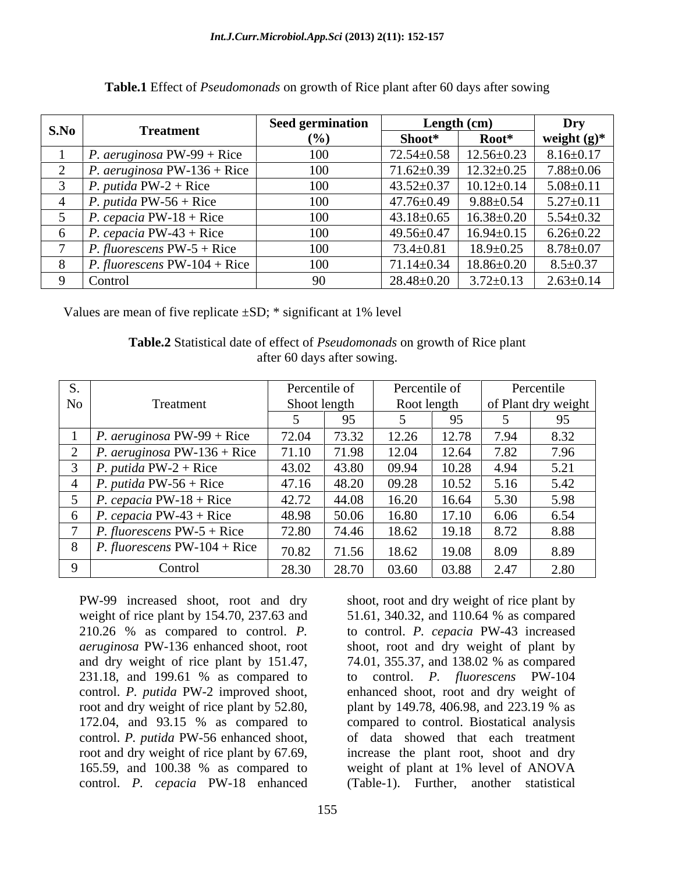| S.No | <b>Treatment</b>                      | <b>Seed germination</b> | Length $(cm)$    |                  | Dry             |  |
|------|---------------------------------------|-------------------------|------------------|------------------|-----------------|--|
|      |                                       | $(\%)$                  | Shoot*           | Root*            | weight $(g)^*$  |  |
|      | P. <i>aeruginosa</i> PW-99 + Rice     | 100                     | $72.54 \pm 0.58$ | $12.56 \pm 0.23$ | $8.16 \pm 0.17$ |  |
|      | P. aeruginosa PW-136 + Rice           | 100                     | $71.62 \pm 0.39$ | $12.32 \pm 0.25$ | $7.88 \pm 0.06$ |  |
|      | <i>P. putida PW-2 + Rice</i>          | 100                     | $43.52 \pm 0.37$ | $10.12 \pm 0.14$ | $5.08 \pm 0.11$ |  |
|      | <i>P. putida PW-56 + Rice</i>         | 100                     | 47.76±0.49       | $9.88 \pm 0.54$  | $5.27 \pm 0.11$ |  |
|      | P. cepacia PW-18 + Rice               | 100                     | $43.18 \pm 0.65$ | $16.38 \pm 0.20$ | $5.54 \pm 0.32$ |  |
|      | P. cepacia PW-43 + Rice               | 100                     | $49.56 \pm 0.47$ | $16.94 \pm 0.15$ | $6.26 \pm 0.22$ |  |
|      | <i>P. fluorescens</i> $PW-5 + Rice$   | 100                     | $73.4 \pm 0.81$  | $18.9 \pm 0.25$  | $8.78{\pm}0.07$ |  |
|      | <i>P. fluorescens</i> $PW-104 + Rice$ | 100                     | $71.14 \pm 0.34$ | $18.86 \pm 0.20$ | $8.5 \pm 0.37$  |  |
|      | Control                               | 90                      | $28.48 \pm 0.20$ | $3.72 \pm 0.13$  | $2.63 \pm 0.14$ |  |

**Table.1** Effect of *Pseudomonads* on growth of Rice plant after 60 days after sowing

Values are mean of five replicate  $\pm SD$ ; \* significant at 1% level

**Table.2** Statistical date of effect of *Pseudomonads* on growth of Rice plant after 60 days after sowing.

| ນ. |                                       | Percentile of |       | Percentile of |       | Percentile |                     |
|----|---------------------------------------|---------------|-------|---------------|-------|------------|---------------------|
| No | Treatment                             | Shoot length  |       | Root length   |       |            | of Plant dry weight |
|    |                                       |               |       |               | 95.   |            |                     |
|    | <i>P. aeruginosa</i> PW-99 + Rice     | 72.04         | 73.32 | 12.26         | 12.78 | 7.94       | 8.32                |
|    | <i>P. aeruginosa</i> PW-136 + Rice    | 71.10         | 71.98 | 12.04         | 12.64 | 7.82       | 7.96                |
|    | <i>P. putida PW-2 + Rice</i>          | 43.02         | 43.80 | 09.94         | 10.28 | 4.94       | 5.21                |
|    | <i>P. putida PW-56 + Rice</i>         | 47.16         | 48.20 | 09.28         | 10.52 | 5.16       | 5.42                |
|    | <i>P. cepacia</i> $PW-18 + Rice$      | 42.72         | 44.08 | 16.20         | 16.64 | 5.30       | 5.98                |
|    | <i>P. cepacia</i> PW-43 + Rice        | 48.98         | 50.06 | 16.80         | 17.10 | 6.06       | 6.54                |
|    | <i>P. fluorescens</i> $PW-5 + Rice$   | 72.80         | 74.46 | 18.62         | 19.18 | 8.72       | 8.88                |
|    | <i>P. fluorescens</i> $PW-104 + Rice$ | 70.82         | 71.56 | 18.62         | 19.08 | 8.09       | 8.89                |
|    | Control                               | 28.30         | 28.70 | 03.60         | 03.88 | 2.47       | 2.80                |

PW-99 increased shoot, root and dry shoot, root and dry weight of rice plant by and dry weight of rice plant by  $151.47$ ,  $74.01$ ,  $355.37$ , and  $138.02$  % as compared control. *P. putida* PW-56 enhanced shoot,

weight of rice plant by 154.70, 237.63 and 51.61, 340.32, and 110.64 % as compared 210.26 % as compared to control. *P.*  to control. *P. cepacia* PW-43 increased *aeruginosa* PW-136 enhanced shoot, root shoot, root and dry weight of plant by 231.18, and 199.61 % as compared to to control. P. fluorescens PW-104 control. *P. putida* PW-2 improved shoot, enhanced shoot, root and dry weight of root and dry weight of rice plant by 52.80, plant by 149.78, 406.98, and 223.19 % as 172.04, and 93.15 % as compared to compared to control. Biostatical analysis root and dry weight of rice plant by 67.69, increase the plant root, shoot and dry 165.59, and 100.38 % as compared to weight of plant at 1% level of ANOVA control. *P. cepacia* PW-18 enhanced (Table-1). Further, another statistical 74.01, 355.37, and 138.02 % as compared to control. *P. fluorescens* PW-104 compared to control. Biostatical analysis of data showed that each treatment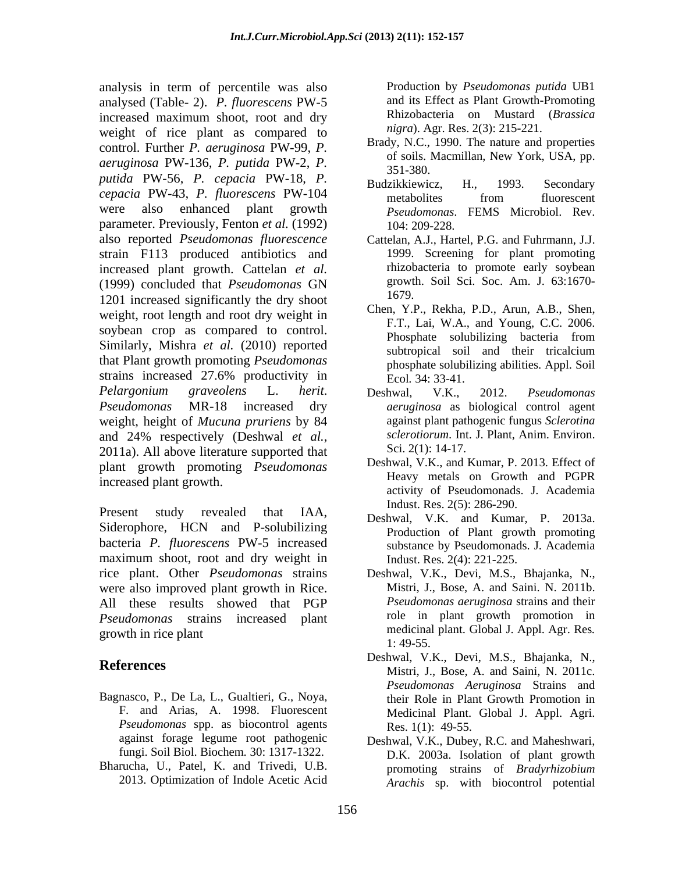analysis in term of percentile was also analysed (Table- 2). *P. fluorescens* PW-5 increased maximum shoot, root and dry weight of rice plant as compared to control. Further *P. aeruginosa* PW-99, *P. aeruginosa* PW-136, *P. putida* PW-2, *P. putida* PW-56, *P. cepacia* PW-18, *P. cepacia* PW-43, *P. fluorescens* PW-104 were also enhanced plant growth *Pseudomonas*. FEMS Microbiol. Rev. parameter. Previously, Fenton *et al.* (1992) also reported *Pseudomonas fluorescence* Cattelan, A.J., Hartel, P.G. and Fuhrmann, J.J. strain F113 produced antibiotics and increased plant growth. Cattelan *et al.* (1999) concluded that *Pseudomonas* GN 1201 increased significantly the dry shoot weight, root length and root dry weight in soybean crop as compared to control.<br>Phosphate solubilizing bacteria from Similarly, Mishra *et al.* (2010) reported that Plant growth promoting *Pseudomonas* strains increased 27.6% productivity in *Pelargonium graveolens* L. *herit*. *Pseudomonas* MR-18 increased dry *aeruginosa* as biological control agent weight, height of *Mucuna pruriens* by 84 and 24% respectively (Deshwal *et al.*, *sclerotiorum*. Int. J. Plant, Anim. Environ.<br>2011a). All above literature supported that Sci. 2(1): 14-17. plant growth promoting *Pseudomonas* increased plant growth.

Present study revealed that IAA, Deshwal, V.K. and Kumar, P. 2013a. Siderophore, HCN and P-solubilizing bacteria *P. fluorescens* PW-5 increased maximum shoot, root and dry weight in rice plant. Other *Pseudomonas* strains Deshwal, V.K., Devi, M.S., Bhajanka, N., were also improved plant growth in Rice. All these results showed that PGP *Pseudomonas* strains increased plant

- Bagnasco, P., De La, L., Gualtieri, G., Noya, *Pseudomonas* spp. as biocontrol agents fungi. Soil Biol. Biochem*.* 30: 1317-1322.
- Bharucha, U., Patel, K. and Trivedi, U.B. 2013. Optimization of Indole Acetic Acid

Production by *Pseudomonas putida* UB1 and its Effect as Plant Growth-Promoting Rhizobacteria on Mustard (*Brassica nigra*). Agr. Res. 2(3): 215-221.

- Brady, N.C., 1990. The nature and properties of soils. Macmillan, New York, USA, pp. 351-380.
- Budzikkiewicz, H., 1993. Secondary metabolites from fluorescent 104: 209-228.
- 1999. Screening for plant promoting rhizobacteria to promote early soybean growth. Soil Sci. Soc. Am. J. 63:1670- 1679.
- Chen, Y.P., Rekha, P.D., Arun, A.B., Shen, F.T., Lai, W.A., and Young, C.C. 2006. Phosphate solubilizing bacteria from subtropical soil and their tricalcium phosphate solubilizing abilities. Appl. Soil Ecol*.* 34: 33-41.
- Deshwal, V.K., 2012. *Pseudomonas* against plant pathogenic fungus *Sclerotina sclerotiorum*. Int. J. Plant, Anim. Environ. Sci. 2(1): 14-17.
- Deshwal, V.K., and Kumar, P. 2013. Effect of Heavy metals on Growth and PGPR activity of Pseudomonads. J. Academia Indust. Res. 2(5): 286-290.
- Production of Plant growth promoting substance by Pseudomonads. J. Academia Indust. Res. 2(4): 221-225.
- growth in rice plant medicinal plant. Global J. Appl. Agr. Res*.* Mistri, J., Bose, A. and Saini. N. 2011b. *Pseudomonas aeruginosa* strains and their role in plant growth promotion in 1: 49-55.
- **References** Ecsilwal, V.K., Ecvi, M.S., Bilajalika, N., Ecsilwal, V.K., Ecsi, M.S., Bilajalika, N., F. and Arias, A. 1998. Fluorescent Medicinal Plant. Global J. Appl. Agri. Deshwal, V.K., Devi, M.S., Bhajanka, N., *Pseudomonas Aeruginosa* Strains and their Role in Plant Growth Promotion in Res. 1(1): 49-55.
	- against forage legume root pathogenic Deshwal, V.K., Dubey, R.C. and Maheshwari, D.K. 2003a. Isolation of plant growth promoting strains of *Bradyrhizobium Arachis* sp. with biocontrol potential